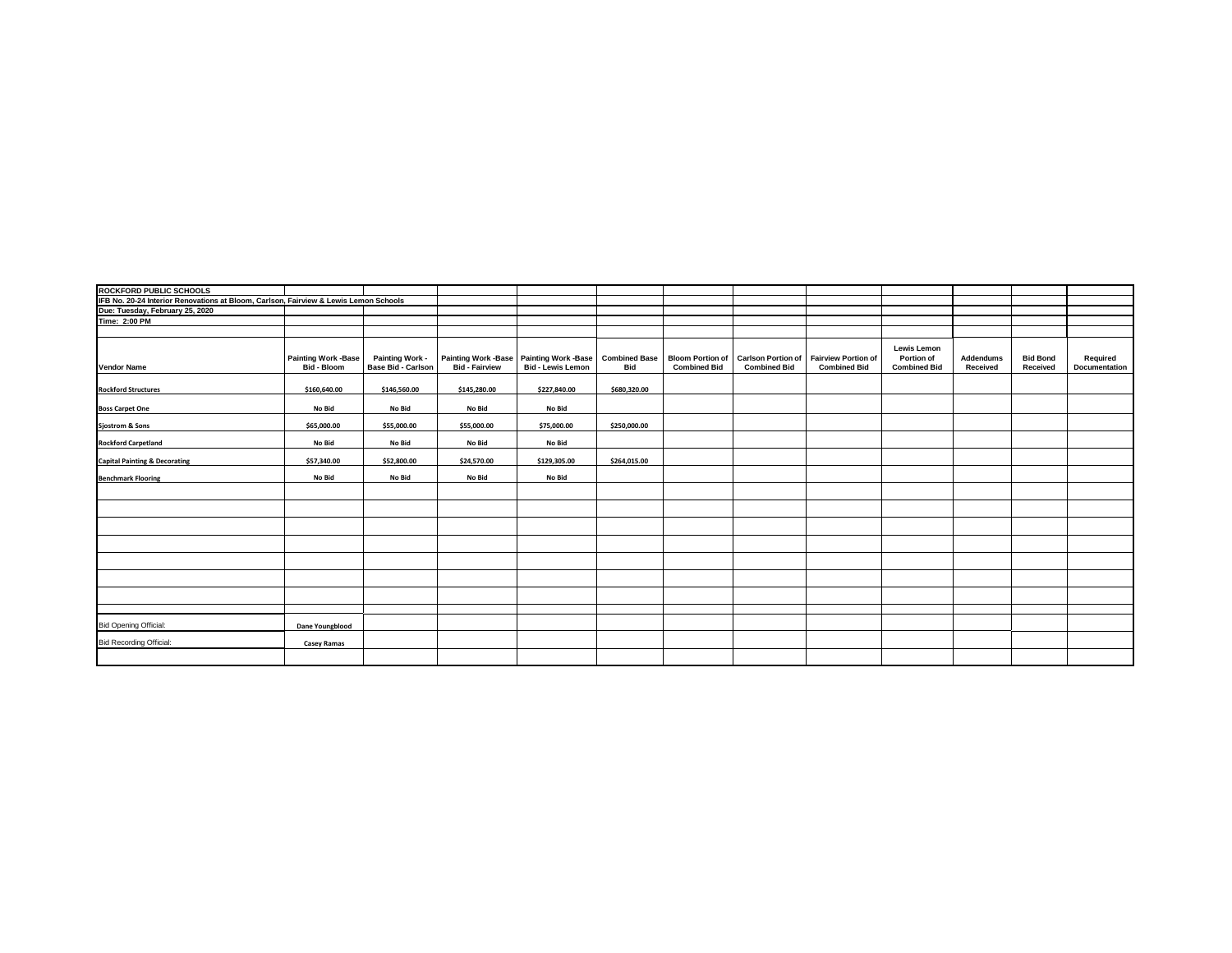| ROCKFORD PUBLIC SCHOOLS                                                              |                                           |                                       |                                                     |                                                        |                             |                                                |                                                  |                                                   |                                                         |                       |                             |                           |
|--------------------------------------------------------------------------------------|-------------------------------------------|---------------------------------------|-----------------------------------------------------|--------------------------------------------------------|-----------------------------|------------------------------------------------|--------------------------------------------------|---------------------------------------------------|---------------------------------------------------------|-----------------------|-----------------------------|---------------------------|
| IFB No. 20-24 Interior Renovations at Bloom, Carlson, Fairview & Lewis Lemon Schools |                                           |                                       |                                                     |                                                        |                             |                                                |                                                  |                                                   |                                                         |                       |                             |                           |
| Due: Tuesday, February 25, 2020                                                      |                                           |                                       |                                                     |                                                        |                             |                                                |                                                  |                                                   |                                                         |                       |                             |                           |
| Time: 2:00 PM                                                                        |                                           |                                       |                                                     |                                                        |                             |                                                |                                                  |                                                   |                                                         |                       |                             |                           |
|                                                                                      |                                           |                                       |                                                     |                                                        |                             |                                                |                                                  |                                                   |                                                         |                       |                             |                           |
| <b>Vendor Name</b>                                                                   | <b>Painting Work -Base</b><br>Bid - Bloom | Painting Work -<br>Base Bid - Carlson | <b>Painting Work -Base</b><br><b>Bid - Fairview</b> | <b>Painting Work -Base</b><br><b>Bid - Lewis Lemon</b> | <b>Combined Base</b><br>Bid | <b>Bloom Portion of</b><br><b>Combined Bid</b> | <b>Carlson Portion of</b><br><b>Combined Bid</b> | <b>Fairview Portion of</b><br><b>Combined Bid</b> | <b>Lewis Lemon</b><br>Portion of<br><b>Combined Bid</b> | Addendums<br>Received | <b>Bid Bond</b><br>Received | Required<br>Documentation |
| <b>Rockford Structures</b>                                                           | \$160,640.00                              | \$146,560.00                          | \$145,280.00                                        | \$227,840.00                                           | \$680,320.00                |                                                |                                                  |                                                   |                                                         |                       |                             |                           |
| <b>Boss Carpet One</b>                                                               | No Bid                                    | No Bid                                | No Bid                                              | No Bid                                                 |                             |                                                |                                                  |                                                   |                                                         |                       |                             |                           |
| <b>Sjostrom &amp; Sons</b>                                                           | \$65,000.00                               | \$55,000.00                           | \$55,000.00                                         | \$75,000.00                                            | \$250,000.00                |                                                |                                                  |                                                   |                                                         |                       |                             |                           |
| <b>Rockford Carpetland</b>                                                           | No Bid                                    | No Bid                                | No Bid                                              | No Bid                                                 |                             |                                                |                                                  |                                                   |                                                         |                       |                             |                           |
| <b>Capital Painting &amp; Decorating</b>                                             | \$57,340.00                               | \$52,800.00                           | \$24,570.00                                         | \$129,305.00                                           | \$264,015.00                |                                                |                                                  |                                                   |                                                         |                       |                             |                           |
| <b>Benchmark Flooring</b>                                                            | No Bid                                    | No Bid                                | No Bid                                              | No Bid                                                 |                             |                                                |                                                  |                                                   |                                                         |                       |                             |                           |
|                                                                                      |                                           |                                       |                                                     |                                                        |                             |                                                |                                                  |                                                   |                                                         |                       |                             |                           |
|                                                                                      |                                           |                                       |                                                     |                                                        |                             |                                                |                                                  |                                                   |                                                         |                       |                             |                           |
|                                                                                      |                                           |                                       |                                                     |                                                        |                             |                                                |                                                  |                                                   |                                                         |                       |                             |                           |
|                                                                                      |                                           |                                       |                                                     |                                                        |                             |                                                |                                                  |                                                   |                                                         |                       |                             |                           |
|                                                                                      |                                           |                                       |                                                     |                                                        |                             |                                                |                                                  |                                                   |                                                         |                       |                             |                           |
|                                                                                      |                                           |                                       |                                                     |                                                        |                             |                                                |                                                  |                                                   |                                                         |                       |                             |                           |
|                                                                                      |                                           |                                       |                                                     |                                                        |                             |                                                |                                                  |                                                   |                                                         |                       |                             |                           |
|                                                                                      |                                           |                                       |                                                     |                                                        |                             |                                                |                                                  |                                                   |                                                         |                       |                             |                           |
| <b>Bid Opening Official:</b>                                                         | Dane Youngblood                           |                                       |                                                     |                                                        |                             |                                                |                                                  |                                                   |                                                         |                       |                             |                           |
| <b>Bid Recording Official:</b>                                                       | <b>Casey Ramas</b>                        |                                       |                                                     |                                                        |                             |                                                |                                                  |                                                   |                                                         |                       |                             |                           |
|                                                                                      |                                           |                                       |                                                     |                                                        |                             |                                                |                                                  |                                                   |                                                         |                       |                             |                           |